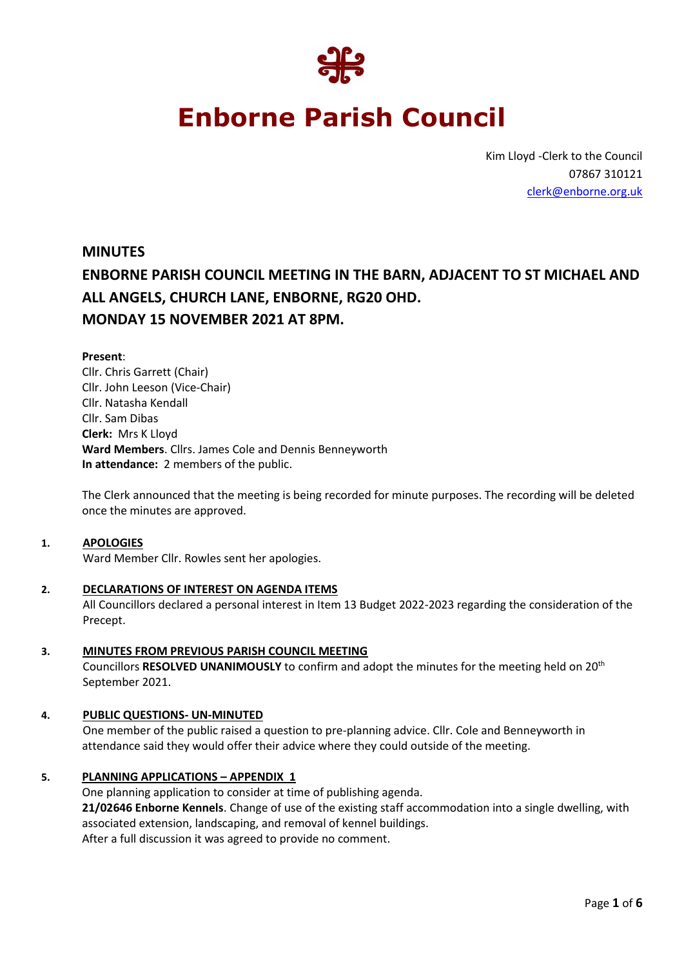

# **Enborne Parish Council**

Kim Lloyd -Clerk to the Council 07867 310121 [clerk@enborne.org.uk](mailto:clerk@enborne.org.uk)

## **MINUTES ENBORNE PARISH COUNCIL MEETING IN THE BARN, ADJACENT TO ST MICHAEL AND ALL ANGELS, CHURCH LANE, ENBORNE, RG20 OHD. MONDAY 15 NOVEMBER 2021 AT 8PM.**

### **Present**:

Cllr. Chris Garrett (Chair) Cllr. John Leeson (Vice-Chair) Cllr. Natasha Kendall Cllr. Sam Dibas **Clerk:** Mrs K Lloyd **Ward Members**. Cllrs. James Cole and Dennis Benneyworth **In attendance:** 2 members of the public.

The Clerk announced that the meeting is being recorded for minute purposes. The recording will be deleted once the minutes are approved.

#### **1. APOLOGIES**

Ward Member Cllr. Rowles sent her apologies.

- **2. DECLARATIONS OF INTEREST ON AGENDA ITEMS** All Councillors declared a personal interest in Item 13 Budget 2022-2023 regarding the consideration of the Precept.
- **3. MINUTES FROM PREVIOUS PARISH COUNCIL MEETING** Councillors **RESOLVED UNANIMOUSLY** to confirm and adopt the minutes for the meeting held on 20th September 2021.

### **4. PUBLIC QUESTIONS- UN-MINUTED**

One member of the public raised a question to pre-planning advice. Cllr. Cole and Benneyworth in attendance said they would offer their advice where they could outside of the meeting.

### **5. PLANNING APPLICATIONS – APPENDIX 1**

One planning application to consider at time of publishing agenda. **21/02646 Enborne Kennels**. Change of use of the existing staff accommodation into a single dwelling, with associated extension, landscaping, and removal of kennel buildings. After a full discussion it was agreed to provide no comment.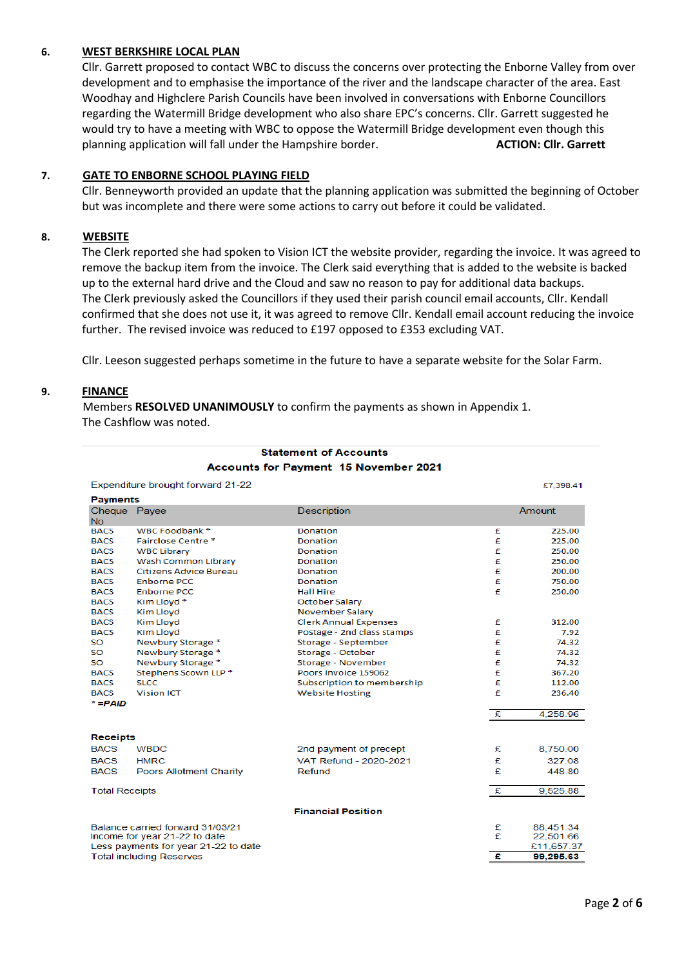### **6. WEST BERKSHIRE LOCAL PLAN**

Cllr. Garrett proposed to contact WBC to discuss the concerns over protecting the Enborne Valley from over development and to emphasise the importance of the river and the landscape character of the area. East Woodhay and Highclere Parish Councils have been involved in conversations with Enborne Councillors regarding the Watermill Bridge development who also share EPC's concerns. Cllr. Garrett suggested he would try to have a meeting with WBC to oppose the Watermill Bridge development even though this planning application will fall under the Hampshire border. **ACTION: Clir. Garrett** 

### **7. GATE TO ENBORNE SCHOOL PLAYING FIELD**

Cllr. Benneyworth provided an update that the planning application was submitted the beginning of October but was incomplete and there were some actions to carry out before it could be validated.

### **8. WEBSITE**

The Clerk reported she had spoken to Vision ICT the website provider, regarding the invoice. It was agreed to remove the backup item from the invoice. The Clerk said everything that is added to the website is backed up to the external hard drive and the Cloud and saw no reason to pay for additional data backups. The Clerk previously asked the Councillors if they used their parish council email accounts, Cllr. Kendall confirmed that she does not use it, it was agreed to remove Cllr. Kendall email account reducing the invoice further. The revised invoice was reduced to £197 opposed to £353 excluding VAT.

Cllr. Leeson suggested perhaps sometime in the future to have a separate website for the Solar Farm.

### **9. FINANCE**

Members **RESOLVED UNANIMOUSLY** to confirm the payments as shown in Appendix 1. The Cashflow was noted.

| Expenditure brought forward 21-22<br>£7,398.41                          |                            |                              |        |            |
|-------------------------------------------------------------------------|----------------------------|------------------------------|--------|------------|
| <b>Payments</b>                                                         |                            |                              |        |            |
| Cheque Payee<br><b>No</b>                                               |                            | <b>Description</b>           |        | Amount     |
| <b>BACS</b>                                                             | WBC Foodbank *             | Donation                     | £      | 225.00     |
| <b>BACS</b>                                                             | Fairclose Centre *         | Donation                     | £      | 225.00     |
| <b>BACS</b>                                                             | <b>WBC Library</b>         | Donation                     | £      | 250.00     |
| <b>BACS</b>                                                             | <b>Wash Common Library</b> | Donation                     | £      | 250.00     |
| <b>BACS</b>                                                             | Citizens Advice Bureau     | Donation                     | £      | 200.00     |
| <b>BACS</b>                                                             | <b>Enborne PCC</b>         | Donation                     | £      | 750.00     |
| <b>BACS</b>                                                             | <b>Enborne PCC</b>         | <b>Hall Hire</b>             | £      | 250.00     |
| <b>BACS</b>                                                             | Kim Lloyd <sup>*</sup>     | October Salary               |        |            |
| <b>BACS</b>                                                             | <b>Kim Lloyd</b>           | November Salary              |        |            |
| <b>BACS</b>                                                             | <b>Kim Lloyd</b>           | <b>Clerk Annual Expenses</b> | £      | 312.00     |
| <b>BACS</b>                                                             | <b>Kim Lloyd</b>           | Postage - 2nd class stamps   | £      | 7.92       |
| <b>SO</b>                                                               | Newbury Storage *          | Storage - September          | £      | 74.32      |
| SΟ                                                                      | Newbury Storage *          | Storage - October            | £      | 74.32      |
| <b>SO</b>                                                               | Newbury Storage *          | Storage - November           | £      | 74.32      |
| <b>BACS</b>                                                             | Stephens Scown LLP *       | Poors Invoice 159062         | £      | 367.20     |
| <b>BACS</b>                                                             | SLCC.                      | Subscription to membership   | £      | 112.00     |
| <b>BACS</b>                                                             | <b>Vision ICT</b>          | <b>Website Hosting</b>       | £      | 236.40     |
| $* = PAID$                                                              |                            |                              |        |            |
|                                                                         |                            |                              | £      | 4.258.96   |
|                                                                         |                            |                              |        |            |
| <b>Receipts</b>                                                         |                            |                              |        |            |
| <b>BACS</b>                                                             | <b>WBDC</b>                | 2nd payment of precept       | £      | 8.750.00   |
| <b>BACS</b>                                                             | <b>HMRC</b>                | VAT Refund - 2020-2021       | £      | 327.08     |
| <b>BACS</b>                                                             | Poors Allotment Charity    | Refund                       | £      | 448.80     |
| <b>Total Receipts</b>                                                   |                            |                              | £      | 9,525.88   |
|                                                                         |                            | <b>Financial Position</b>    |        |            |
|                                                                         |                            |                              |        |            |
| Balance carried forward 31/03/21                                        |                            |                              | £<br>£ | 88,451.34  |
| Income for year 21-22 to date.                                          |                            |                              |        | 22,501.66  |
| Less payments for year 21-22 to date<br><b>Total including Reserves</b> |                            |                              | £      | £11,657.37 |
|                                                                         |                            |                              |        | 99.295.63  |
|                                                                         |                            |                              |        |            |

### **Statement of Accounts Accounts for Payment 15 November 2021**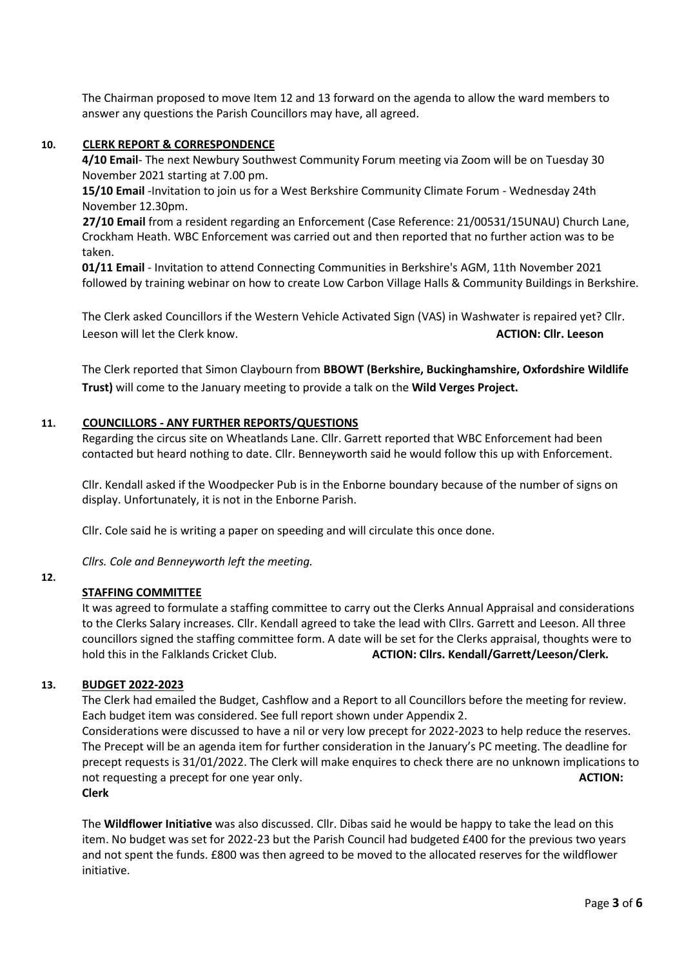The Chairman proposed to move Item 12 and 13 forward on the agenda to allow the ward members to answer any questions the Parish Councillors may have, all agreed.

#### **10. CLERK REPORT & CORRESPONDENCE**

**4/10 Email**- The next Newbury Southwest Community Forum meeting via Zoom will be on Tuesday 30 November 2021 starting at 7.00 pm.

**15/10 Email** -Invitation to join us for a West Berkshire Community Climate Forum - Wednesday 24th November 12.30pm.

**27/10 Email** from a resident regarding an Enforcement (Case Reference: 21/00531/15UNAU) Church Lane, Crockham Heath. WBC Enforcement was carried out and then reported that no further action was to be taken.

**01/11 Email** - Invitation to attend Connecting Communities in Berkshire's AGM, 11th November 2021 followed by training webinar on how to create Low Carbon Village Halls & Community Buildings in Berkshire.

The Clerk asked Councillors if the Western Vehicle Activated Sign (VAS) in Washwater is repaired yet? Cllr. Leeson will let the Clerk know. **ACTION: Cllr. Leeson**

The Clerk reported that Simon Claybourn from **BBOWT (Berkshire, Buckinghamshire, Oxfordshire Wildlife Trust)** will come to the January meeting to provide a talk on the **Wild Verges Project.**

### **11. COUNCILLORS - ANY FURTHER REPORTS/QUESTIONS**

Regarding the circus site on Wheatlands Lane. Cllr. Garrett reported that WBC Enforcement had been contacted but heard nothing to date. Cllr. Benneyworth said he would follow this up with Enforcement.

Cllr. Kendall asked if the Woodpecker Pub is in the Enborne boundary because of the number of signs on display. Unfortunately, it is not in the Enborne Parish.

Cllr. Cole said he is writing a paper on speeding and will circulate this once done.

*Cllrs. Cole and Benneyworth left the meeting.* 

### **STAFFING COMMITTEE**

**12.**

It was agreed to formulate a staffing committee to carry out the Clerks Annual Appraisal and considerations to the Clerks Salary increases. Cllr. Kendall agreed to take the lead with Cllrs. Garrett and Leeson. All three councillors signed the staffing committee form. A date will be set for the Clerks appraisal, thoughts were to hold this in the Falklands Cricket Club. **ACTION: Cllrs. Kendall/Garrett/Leeson/Clerk.**

#### **13. BUDGET 2022-2023**

The Clerk had emailed the Budget, Cashflow and a Report to all Councillors before the meeting for review. Each budget item was considered. See full report shown under Appendix 2.

Considerations were discussed to have a nil or very low precept for 2022-2023 to help reduce the reserves. The Precept will be an agenda item for further consideration in the January's PC meeting. The deadline for precept requests is 31/01/2022. The Clerk will make enquires to check there are no unknown implications to not requesting a precept for one year only. **ACTION: ACTION: ACTION: ACTION: ACTION: ACTION: ACTION: ACTION: ACTION: ACTION: ACTION: ACTION: ACTION: ACTION: ACTION: ACTION: ACTION: ACTION: Clerk**

The **Wildflower Initiative** was also discussed. Cllr. Dibas said he would be happy to take the lead on this item. No budget was set for 2022-23 but the Parish Council had budgeted £400 for the previous two years and not spent the funds. £800 was then agreed to be moved to the allocated reserves for the wildflower initiative.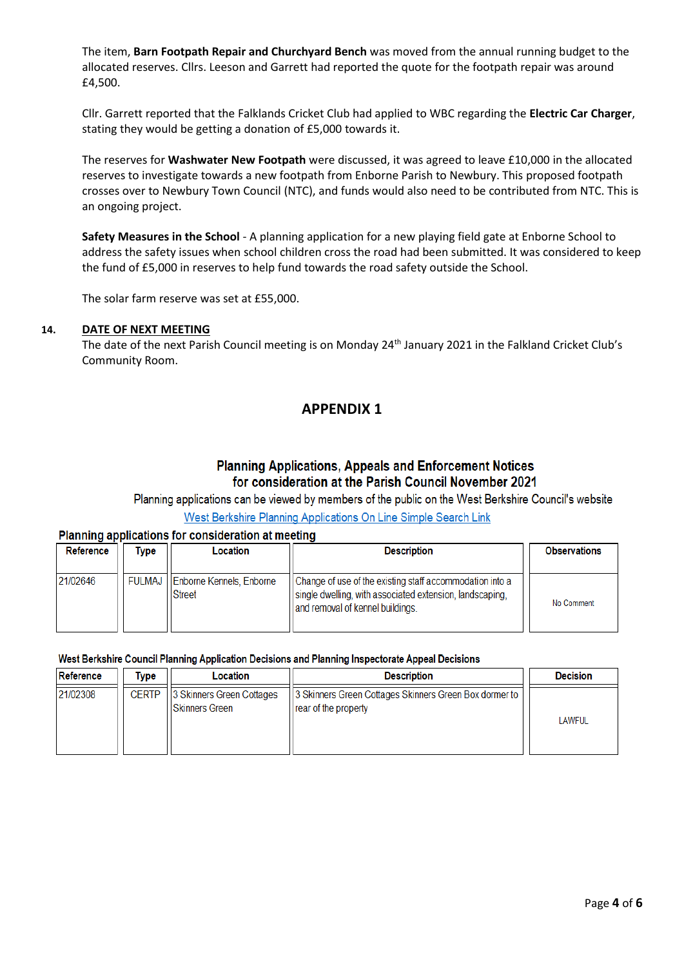The item, **Barn Footpath Repair and Churchyard Bench** was moved from the annual running budget to the allocated reserves. Cllrs. Leeson and Garrett had reported the quote for the footpath repair was around £4,500.

Cllr. Garrett reported that the Falklands Cricket Club had applied to WBC regarding the **Electric Car Charger**, stating they would be getting a donation of £5,000 towards it.

The reserves for **Washwater New Footpath** were discussed, it was agreed to leave £10,000 in the allocated reserves to investigate towards a new footpath from Enborne Parish to Newbury. This proposed footpath crosses over to Newbury Town Council (NTC), and funds would also need to be contributed from NTC. This is an ongoing project.

**Safety Measures in the School** - A planning application for a new playing field gate at Enborne School to address the safety issues when school children cross the road had been submitted. It was considered to keep the fund of £5,000 in reserves to help fund towards the road safety outside the School.

The solar farm reserve was set at £55,000.

### **14. DATE OF NEXT MEETING**

The date of the next Parish Council meeting is on Monday 24<sup>th</sup> January 2021 in the Falkland Cricket Club's Community Room.

### **APPENDIX 1**

### **Planning Applications, Appeals and Enforcement Notices** for consideration at the Parish Council November 2021

Planning applications can be viewed by members of the public on the West Berkshire Council's website

West Berkshire Planning Applications On Line Simple Search Link

### Planning applications for consideration at meeting

| Reference | Type          | Location                                  | <b>Description</b>                                                                                                                                       | <b>Observations</b> |
|-----------|---------------|-------------------------------------------|----------------------------------------------------------------------------------------------------------------------------------------------------------|---------------------|
| 21/02646  | <b>FULMAJ</b> | Enborne Kennels, Enborne<br><b>Street</b> | Change of use of the existing staff accommodation into a<br>single dwelling, with associated extension, landscaping,<br>and removal of kennel buildings. | No Comment          |

#### West Berkshire Council Planning Application Decisions and Planning Inspectorate Appeal Decisions

| Reference | Type         | Location                                           | <b>Description</b>                                                               | <b>Decision</b> |
|-----------|--------------|----------------------------------------------------|----------------------------------------------------------------------------------|-----------------|
| 21/02308  | <b>CERTP</b> | 3 Skinners Green Cottages<br><b>Skinners Green</b> | [3] Skinners Green Cottages Skinners Green Box dormer to<br>rear of the property | <b>LAWFUL</b>   |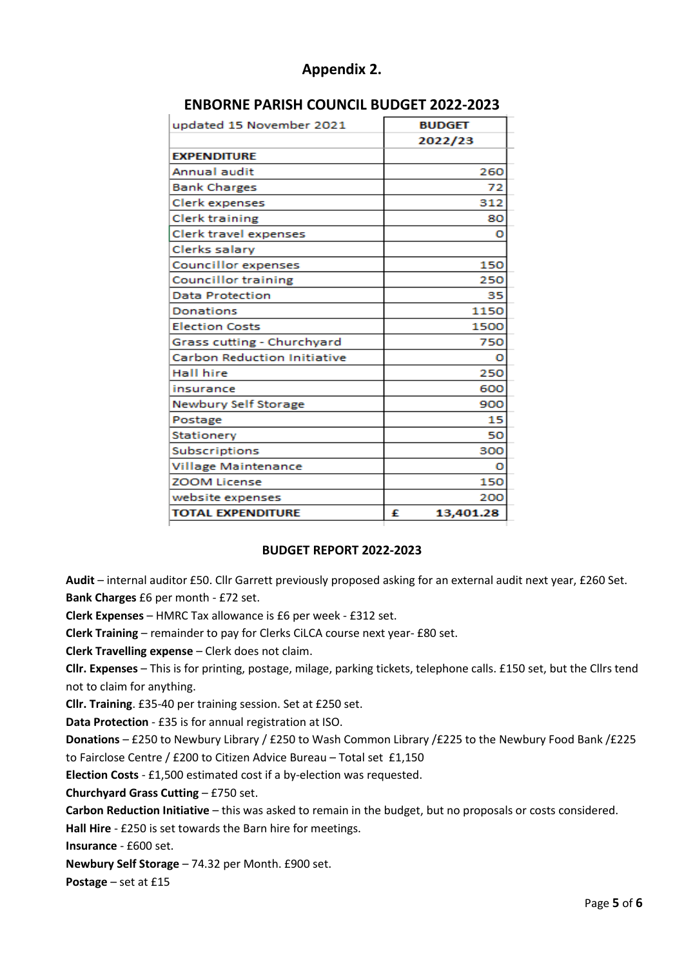| updated 15 November 2021           |   | <b>BUDGET</b> |
|------------------------------------|---|---------------|
|                                    |   | 2022/23       |
| <b>EXPENDITURE</b>                 |   |               |
| Annual audit                       |   | 260           |
| <b>Bank Charges</b>                |   | 72            |
| Clerk expenses                     |   | 312           |
| Clerk training                     |   | 80            |
| Clerk travel expenses              |   | o             |
| Clerks salary                      |   |               |
| <b>Councillor expenses</b>         |   | 150           |
| <b>Councillor training</b>         |   | 250           |
| <b>Data Protection</b>             |   | 35            |
| <b>Donations</b>                   |   | 1150          |
| <b>Election Costs</b>              |   | 1500          |
| Grass cutting - Churchyard         |   | 750           |
| <b>Carbon Reduction Initiative</b> |   | ο             |
| <b>Hall hire</b>                   |   | 250           |
| insurance                          |   | 600           |
| Newbury Self Storage               |   | 900           |
| Postage                            |   | 15            |
| Stationery                         |   | 50            |
| Subscriptions                      |   | 300           |
| <b>Village Maintenance</b>         |   | o             |
| <b>ZOOM License</b>                |   | 150           |
| website expenses                   |   | 200           |
| <b>TOTAL EXPENDITURE</b>           | £ | 13,401.28     |
|                                    |   |               |

### **Appendix 2.**

### **ENBORNE PARISH COUNCIL BUDGET 2022-2023**

### **BUDGET REPORT 2022-2023**

**Audit** – internal auditor £50. Cllr Garrett previously proposed asking for an external audit next year, £260 Set. **Bank Charges** £6 per month - £72 set.

**Clerk Expenses** – HMRC Tax allowance is £6 per week - £312 set.

**Clerk Training** – remainder to pay for Clerks CiLCA course next year- £80 set.

**Clerk Travelling expense** – Clerk does not claim.

**Cllr. Expenses** – This is for printing, postage, milage, parking tickets, telephone calls. £150 set, but the Cllrs tend not to claim for anything.

**Cllr. Training**. £35-40 per training session. Set at £250 set.

**Data Protection** - £35 is for annual registration at ISO.

**Donations** – £250 to Newbury Library / £250 to Wash Common Library /£225 to the Newbury Food Bank /£225 to Fairclose Centre / £200 to Citizen Advice Bureau – Total set £1,150

**Election Costs** - £1,500 estimated cost if a by-election was requested.

**Churchyard Grass Cutting** – £750 set.

**Carbon Reduction Initiative** – this was asked to remain in the budget, but no proposals or costs considered.

**Hall Hire** - £250 is set towards the Barn hire for meetings.

**Insurance** - £600 set.

**Newbury Self Storage** – 74.32 per Month. £900 set.

**Postage** – set at £15